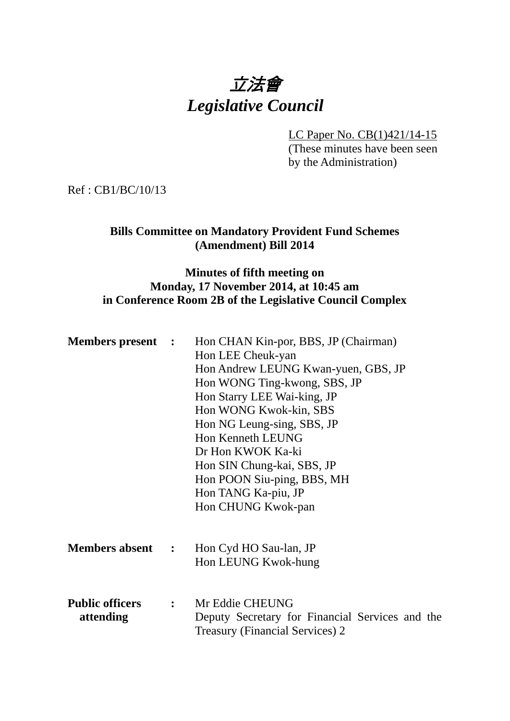# 立法會 *Legislative Council*

LC Paper No. CB(1)421/14-15

(These minutes have been seen by the Administration)

Ref : CB1/BC/10/13

## **Bills Committee on Mandatory Provident Fund Schemes (Amendment) Bill 2014**

### **Minutes of fifth meeting on Monday, 17 November 2014, at 10:45 am in Conference Room 2B of the Legislative Council Complex**

| <b>Members present</b> :            | Hon CHAN Kin-por, BBS, JP (Chairman)<br>Hon LEE Cheuk-yan<br>Hon Andrew LEUNG Kwan-yuen, GBS, JP<br>Hon WONG Ting-kwong, SBS, JP<br>Hon Starry LEE Wai-king, JP<br>Hon WONG Kwok-kin, SBS<br>Hon NG Leung-sing, SBS, JP<br>Hon Kenneth LEUNG<br>Dr Hon KWOK Ka-ki<br>Hon SIN Chung-kai, SBS, JP<br>Hon POON Siu-ping, BBS, MH<br>Hon TANG Ka-piu, JP |
|-------------------------------------|------------------------------------------------------------------------------------------------------------------------------------------------------------------------------------------------------------------------------------------------------------------------------------------------------------------------------------------------------|
|                                     | Hon CHUNG Kwok-pan                                                                                                                                                                                                                                                                                                                                   |
| <b>Members absent :</b>             | Hon Cyd HO Sau-lan, JP<br>Hon LEUNG Kwok-hung                                                                                                                                                                                                                                                                                                        |
| <b>Public officers</b><br>attending | : Mr Eddie CHEUNG<br>Deputy Secretary for Financial Services and the<br><b>Treasury (Financial Services) 2</b>                                                                                                                                                                                                                                       |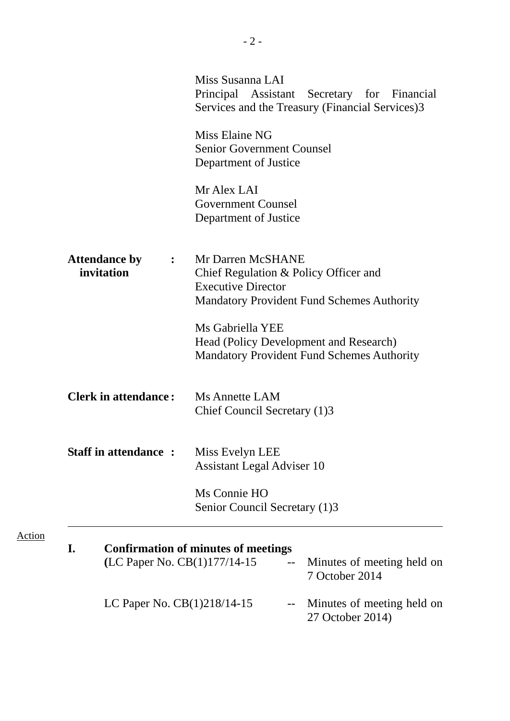|                                                      | Miss Susanna LAI<br>Principal Assistant Secretary for Financial<br>Services and the Treasury (Financial Services)3                           |
|------------------------------------------------------|----------------------------------------------------------------------------------------------------------------------------------------------|
|                                                      | Miss Elaine NG<br><b>Senior Government Counsel</b><br>Department of Justice                                                                  |
|                                                      | Mr Alex LAI<br><b>Government Counsel</b><br>Department of Justice                                                                            |
| <b>Attendance by</b><br>$\ddot{\cdot}$<br>invitation | Mr Darren McSHANE<br>Chief Regulation & Policy Officer and<br><b>Executive Director</b><br><b>Mandatory Provident Fund Schemes Authority</b> |
|                                                      | Ms Gabriella YEE<br>Head (Policy Development and Research)<br><b>Mandatory Provident Fund Schemes Authority</b>                              |
| <b>Clerk in attendance:</b>                          | <b>Ms Annette LAM</b><br>Chief Council Secretary (1)3                                                                                        |
| <b>Staff in attendance:</b>                          | Miss Evelyn LEE<br><b>Assistant Legal Adviser 10</b>                                                                                         |
|                                                      | Ms Connie HO<br>Senior Council Secretary (1)3                                                                                                |
| I.<br>(LC Paper No. CB(1)177/14-15                   | <b>Confirmation of minutes of meetings</b><br>Minutes of meeting held on<br>7 October 2014                                                   |
| LC Paper No. CB(1)218/14-15                          | Minutes of meeting held on<br>$\qquad \qquad -$<br>27 October 2014)                                                                          |

Action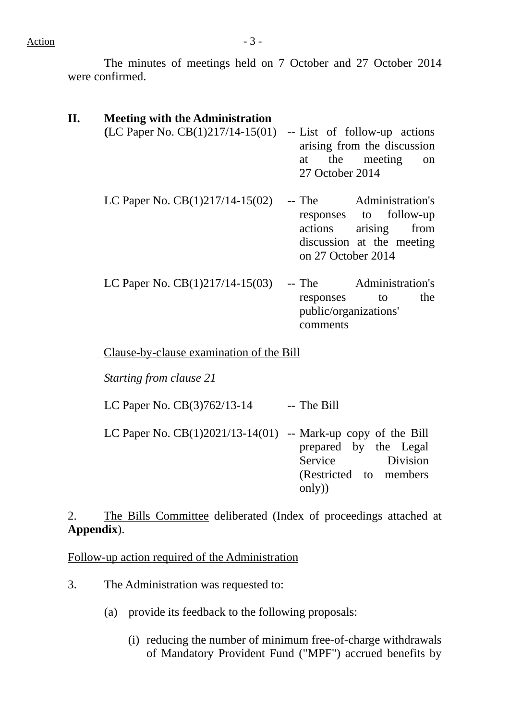Action  $-3$  -

The minutes of meetings held on 7 October and 27 October 2014 were confirmed.

| <b>Meeting with the Administration</b>                            |                                                                                                                                    |
|-------------------------------------------------------------------|------------------------------------------------------------------------------------------------------------------------------------|
| $(LC$ Paper No. $CB(1)217/14-15(01)$ -- List of follow-up actions | arising from the discussion<br>the meeting<br>at<br>on<br>27 October 2014                                                          |
| LC Paper No. $CB(1)217/14-15(02)$                                 | -- The Administration's<br>responses to follow-up<br>actions<br>from<br>arising<br>discussion at the meeting<br>on 27 October 2014 |
| LC Paper No. $CB(1)217/14-15(03)$                                 | -- The Administration's<br>the<br>to<br>responses<br>public/organizations'<br>comments                                             |
| Clause-by-clause examination of the Bill                          |                                                                                                                                    |
| Starting from clause 21                                           |                                                                                                                                    |
| LC Paper No. CB(3)762/13-14                                       | -- The Bill                                                                                                                        |

LC Paper No.  $CB(1)2021/13-14(01)$  -- Mark-up copy of the Bill prepared by the Legal Service Division (Restricted to members only))

2.. The Bills Committee deliberated (Index of proceedings attached at **Appendix**).

Follow-up action required of the Administration

- 3. The Administration was requested to:
	- (a) provide its feedback to the following proposals:
		- (i) reducing the number of minimum free-of-charge withdrawals of Mandatory Provident Fund ("MPF") accrued benefits by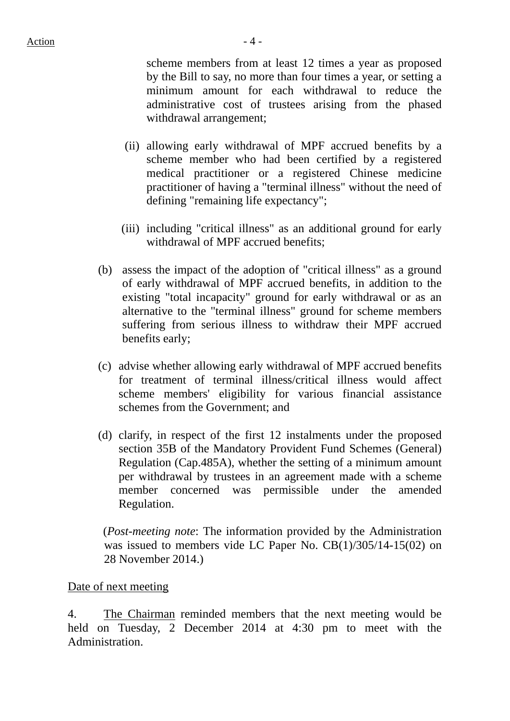scheme members from at least 12 times a year as proposed by the Bill to say, no more than four times a year, or setting a minimum amount for each withdrawal to reduce the administrative cost of trustees arising from the phased withdrawal arrangement;

- (ii) allowing early withdrawal of MPF accrued benefits by a scheme member who had been certified by a registered medical practitioner or a registered Chinese medicine practitioner of having a "terminal illness" without the need of defining "remaining life expectancy";
- (iii) including "critical illness" as an additional ground for early withdrawal of MPF accrued benefits;
- (b) assess the impact of the adoption of "critical illness" as a ground of early withdrawal of MPF accrued benefits, in addition to the existing "total incapacity" ground for early withdrawal or as an alternative to the "terminal illness" ground for scheme members suffering from serious illness to withdraw their MPF accrued benefits early;
- (c) advise whether allowing early withdrawal of MPF accrued benefits for treatment of terminal illness/critical illness would affect scheme members' eligibility for various financial assistance schemes from the Government; and
- (d) clarify, in respect of the first 12 instalments under the proposed section 35B of the Mandatory Provident Fund Schemes (General) Regulation (Cap.485A), whether the setting of a minimum amount per withdrawal by trustees in an agreement made with a scheme member concerned was permissible under the amended Regulation.

(*Post-meeting note*: The information provided by the Administration was issued to members vide LC Paper No. CB(1)/305/14-15(02) on 28 November 2014.)

#### Date of next meeting

4. The Chairman reminded members that the next meeting would be held on Tuesday, 2 December 2014 at 4:30 pm to meet with the Administration.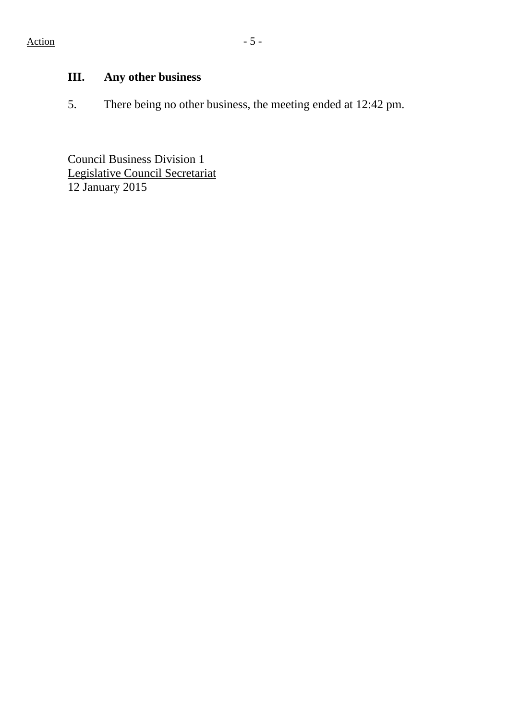# **III. Any other business**

5. There being no other business, the meeting ended at 12:42 pm.

Council Business Division 1 Legislative Council Secretariat 12 January 2015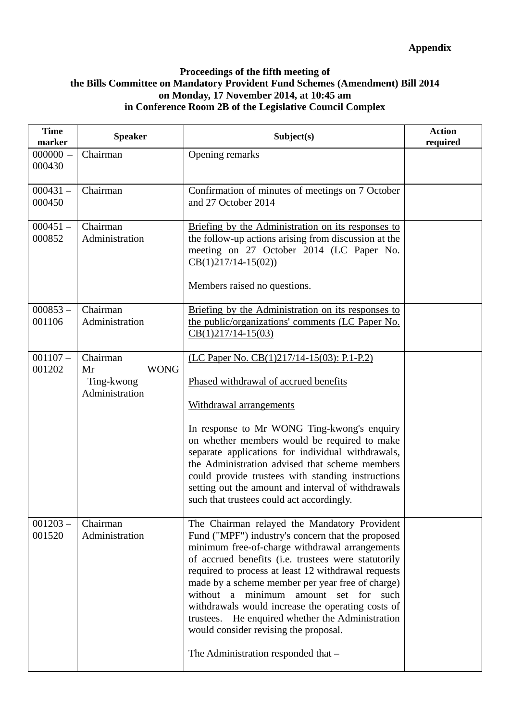#### **Proceedings of the fifth meeting of the Bills Committee on Mandatory Provident Fund Schemes (Amendment) Bill 2014 on Monday, 17 November 2014, at 10:45 am in Conference Room 2B of the Legislative Council Complex**

| <b>Time</b><br>marker | <b>Speaker</b>                                                | Subject(s)                                                                                                                                                                                                                                                                                                                                                                                                                                                                                                                                              | <b>Action</b><br>required |
|-----------------------|---------------------------------------------------------------|---------------------------------------------------------------------------------------------------------------------------------------------------------------------------------------------------------------------------------------------------------------------------------------------------------------------------------------------------------------------------------------------------------------------------------------------------------------------------------------------------------------------------------------------------------|---------------------------|
| $000000 -$<br>000430  | Chairman                                                      | Opening remarks                                                                                                                                                                                                                                                                                                                                                                                                                                                                                                                                         |                           |
| $000431 -$<br>000450  | Chairman                                                      | Confirmation of minutes of meetings on 7 October<br>and 27 October 2014                                                                                                                                                                                                                                                                                                                                                                                                                                                                                 |                           |
| $000451 -$<br>000852  | Chairman<br>Administration                                    | Briefing by the Administration on its responses to<br>the follow-up actions arising from discussion at the<br>meeting on 27 October 2014 (LC Paper No.<br>$CB(1)217/14-15(02))$<br>Members raised no questions.                                                                                                                                                                                                                                                                                                                                         |                           |
| $000853 -$<br>001106  | Chairman<br>Administration                                    | Briefing by the Administration on its responses to<br>the public/organizations' comments (LC Paper No.<br>$CB(1)217/14-15(03)$                                                                                                                                                                                                                                                                                                                                                                                                                          |                           |
| $001107 -$<br>001202  | Chairman<br><b>WONG</b><br>Mr<br>Ting-kwong<br>Administration | (LC Paper No. CB(1)217/14-15(03): P.1-P.2)<br>Phased withdrawal of accrued benefits<br>Withdrawal arrangements<br>In response to Mr WONG Ting-kwong's enquiry<br>on whether members would be required to make<br>separate applications for individual withdrawals,<br>the Administration advised that scheme members<br>could provide trustees with standing instructions<br>setting out the amount and interval of withdrawals<br>such that trustees could act accordingly.                                                                            |                           |
| $001203 -$<br>001520  | Chairman<br>Administration                                    | The Chairman relayed the Mandatory Provident<br>Fund ("MPF") industry's concern that the proposed<br>minimum free-of-charge withdrawal arrangements<br>of accrued benefits (i.e. trustees were statutorily<br>required to process at least 12 withdrawal requests<br>made by a scheme member per year free of charge)<br>without a minimum amount set for such<br>withdrawals would increase the operating costs of<br>trustees. He enquired whether the Administration<br>would consider revising the proposal.<br>The Administration responded that - |                           |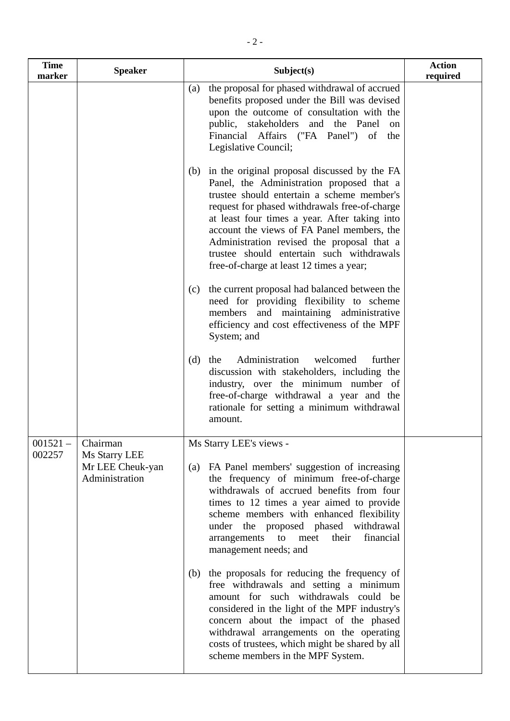| <b>Time</b><br>marker | <b>Speaker</b>                                      | Subject(s)                                                                                                                                                                                                                                                                                                                                                                                                                         | <b>Action</b><br>required |
|-----------------------|-----------------------------------------------------|------------------------------------------------------------------------------------------------------------------------------------------------------------------------------------------------------------------------------------------------------------------------------------------------------------------------------------------------------------------------------------------------------------------------------------|---------------------------|
|                       |                                                     | the proposal for phased withdrawal of accrued<br>(a)<br>benefits proposed under the Bill was devised<br>upon the outcome of consultation with the<br>public, stakeholders and the Panel<br>on<br>Financial Affairs ("FA Panel") of the<br>Legislative Council;                                                                                                                                                                     |                           |
|                       |                                                     | (b) in the original proposal discussed by the FA<br>Panel, the Administration proposed that a<br>trustee should entertain a scheme member's<br>request for phased withdrawals free-of-charge<br>at least four times a year. After taking into<br>account the views of FA Panel members, the<br>Administration revised the proposal that a<br>trustee should entertain such withdrawals<br>free-of-charge at least 12 times a year; |                           |
|                       |                                                     | the current proposal had balanced between the<br>(c)<br>need for providing flexibility to scheme<br>members and maintaining administrative<br>efficiency and cost effectiveness of the MPF<br>System; and                                                                                                                                                                                                                          |                           |
|                       |                                                     | Administration<br>the<br>welcomed<br>further<br>(d)<br>discussion with stakeholders, including the<br>industry, over the minimum number of<br>free-of-charge withdrawal a year and the<br>rationale for setting a minimum withdrawal<br>amount.                                                                                                                                                                                    |                           |
| $001521 -$            | Chairman                                            | Ms Starry LEE's views -                                                                                                                                                                                                                                                                                                                                                                                                            |                           |
| 002257                | Ms Starry LEE<br>Mr LEE Cheuk-yan<br>Administration | (a) FA Panel members' suggestion of increasing<br>the frequency of minimum free-of-charge<br>withdrawals of accrued benefits from four<br>times to 12 times a year aimed to provide<br>scheme members with enhanced flexibility<br>under the proposed phased withdrawal<br>financial<br>arrangements<br>$\mathbf{to}$<br>meet<br>their<br>management needs; and                                                                    |                           |
|                       |                                                     | the proposals for reducing the frequency of<br>(b)<br>free withdrawals and setting a minimum<br>amount for such withdrawals could be<br>considered in the light of the MPF industry's<br>concern about the impact of the phased<br>withdrawal arrangements on the operating<br>costs of trustees, which might be shared by all<br>scheme members in the MPF System.                                                                |                           |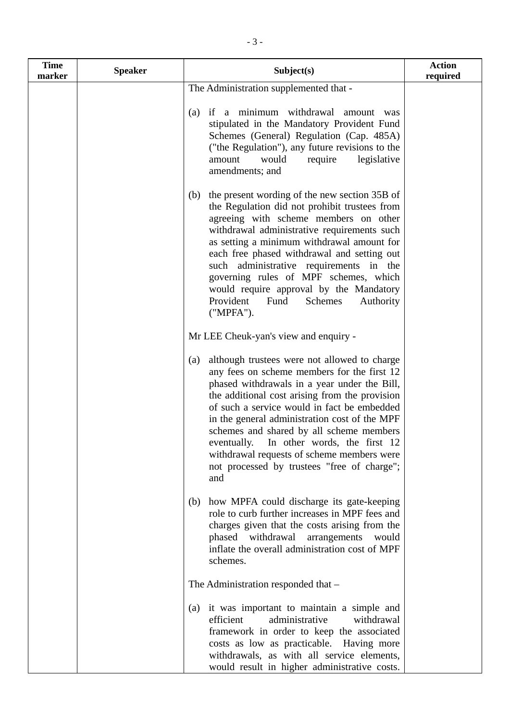| <b>Time</b><br>marker | <b>Speaker</b> | Subject(s)                                                                                                                                                                                                                                                                                                                                                                                                                                                                                       | <b>Action</b><br>required |
|-----------------------|----------------|--------------------------------------------------------------------------------------------------------------------------------------------------------------------------------------------------------------------------------------------------------------------------------------------------------------------------------------------------------------------------------------------------------------------------------------------------------------------------------------------------|---------------------------|
|                       |                | The Administration supplemented that -                                                                                                                                                                                                                                                                                                                                                                                                                                                           |                           |
|                       |                | if a minimum withdrawal amount<br>(a)<br>was<br>stipulated in the Mandatory Provident Fund<br>Schemes (General) Regulation (Cap. 485A)<br>("the Regulation"), any future revisions to the<br>would<br>require<br>legislative<br>amount<br>amendments; and                                                                                                                                                                                                                                        |                           |
|                       |                | the present wording of the new section 35B of<br>(b)<br>the Regulation did not prohibit trustees from<br>agreeing with scheme members on other<br>withdrawal administrative requirements such<br>as setting a minimum withdrawal amount for<br>each free phased withdrawal and setting out<br>such administrative requirements in the<br>governing rules of MPF schemes, which<br>would require approval by the Mandatory<br>Provident<br>Fund<br>Schemes<br>Authority<br>("MPFA").              |                           |
|                       |                | Mr LEE Cheuk-yan's view and enquiry -                                                                                                                                                                                                                                                                                                                                                                                                                                                            |                           |
|                       |                | although trustees were not allowed to charge<br>(a)<br>any fees on scheme members for the first 12<br>phased withdrawals in a year under the Bill,<br>the additional cost arising from the provision<br>of such a service would in fact be embedded<br>in the general administration cost of the MPF<br>schemes and shared by all scheme members<br>eventually. In other words, the first 12<br>withdrawal requests of scheme members were<br>not processed by trustees "free of charge";<br>and |                           |
|                       |                | how MPFA could discharge its gate-keeping<br>(b)<br>role to curb further increases in MPF fees and<br>charges given that the costs arising from the<br>withdrawal<br>phased<br>arrangements<br>would<br>inflate the overall administration cost of MPF<br>schemes.                                                                                                                                                                                                                               |                           |
|                       |                | The Administration responded that -                                                                                                                                                                                                                                                                                                                                                                                                                                                              |                           |
|                       |                | (a) it was important to maintain a simple and<br>efficient<br>administrative<br>withdrawal<br>framework in order to keep the associated<br>costs as low as practicable. Having more<br>withdrawals, as with all service elements,<br>would result in higher administrative costs.                                                                                                                                                                                                                |                           |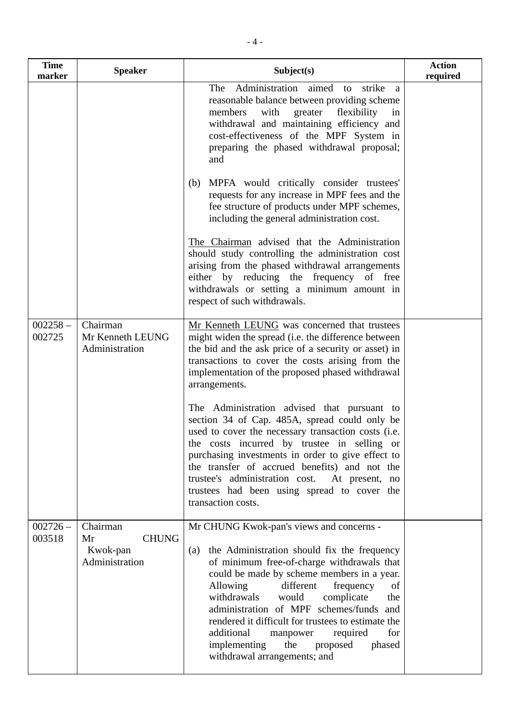| <b>Time</b><br>marker | <b>Speaker</b>                                               | Subject(s)                                                                                                                                                                                                                                                                                                                                                                                                                                                                                                     | <b>Action</b><br>required |
|-----------------------|--------------------------------------------------------------|----------------------------------------------------------------------------------------------------------------------------------------------------------------------------------------------------------------------------------------------------------------------------------------------------------------------------------------------------------------------------------------------------------------------------------------------------------------------------------------------------------------|---------------------------|
|                       |                                                              | Administration<br>aimed to<br>strike<br>The<br>a<br>reasonable balance between providing scheme<br>members<br>with<br>greater flexibility<br>in<br>withdrawal and maintaining efficiency and<br>cost-effectiveness of the MPF System in<br>preparing the phased withdrawal proposal;<br>and                                                                                                                                                                                                                    |                           |
|                       |                                                              | (b) MPFA would critically consider trustees'<br>requests for any increase in MPF fees and the<br>fee structure of products under MPF schemes,<br>including the general administration cost.                                                                                                                                                                                                                                                                                                                    |                           |
|                       |                                                              | The Chairman advised that the Administration<br>should study controlling the administration cost<br>arising from the phased withdrawal arrangements<br>either by reducing the frequency of free<br>withdrawals or setting a minimum amount in<br>respect of such withdrawals.                                                                                                                                                                                                                                  |                           |
| $002258 -$<br>002725  | Chairman<br>Mr Kenneth LEUNG<br>Administration               | Mr Kenneth LEUNG was concerned that trustees<br>might widen the spread (i.e. the difference between<br>the bid and the ask price of a security or asset) in<br>transactions to cover the costs arising from the<br>implementation of the proposed phased withdrawal<br>arrangements.                                                                                                                                                                                                                           |                           |
|                       |                                                              | The Administration advised that pursuant to<br>section 34 of Cap. 485A, spread could only be<br>used to cover the necessary transaction costs (i.e.<br>the costs incurred by trustee in selling or<br>purchasing investments in order to give effect to<br>the transfer of accrued benefits) and not the<br>trustee's administration cost.<br>At present, no<br>trustees had been using spread to cover the<br>transaction costs.                                                                              |                           |
| $002726 -$<br>003518  | Chairman<br><b>CHUNG</b><br>Mr<br>Kwok-pan<br>Administration | Mr CHUNG Kwok-pan's views and concerns -<br>the Administration should fix the frequency<br>(a)<br>of minimum free-of-charge withdrawals that<br>could be made by scheme members in a year.<br>Allowing<br>different<br>frequency<br>of<br>withdrawals<br>complicate<br>would<br>the<br>administration of MPF schemes/funds and<br>rendered it difficult for trustees to estimate the<br>additional<br>for<br>required<br>manpower<br>implementing<br>the<br>proposed<br>phased<br>withdrawal arrangements; and |                           |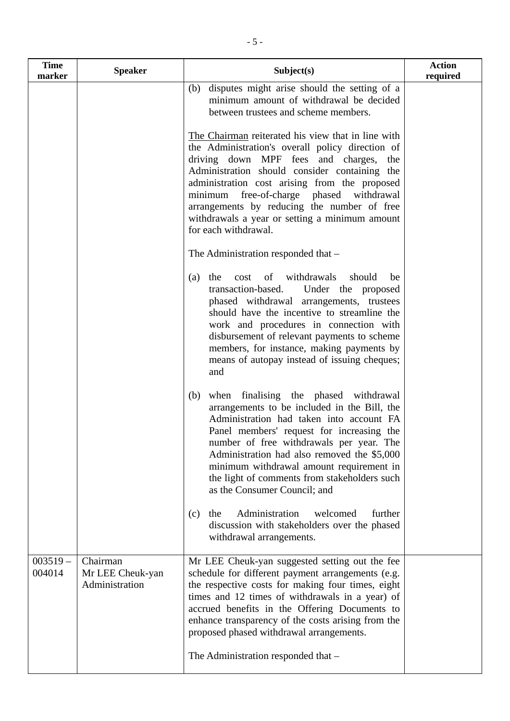| <b>Time</b><br>marker | <b>Speaker</b>                                 | Subject(s)                                                                                                                                                                                                                                                                                                                                                                                                                                                                                                       | <b>Action</b><br>required |
|-----------------------|------------------------------------------------|------------------------------------------------------------------------------------------------------------------------------------------------------------------------------------------------------------------------------------------------------------------------------------------------------------------------------------------------------------------------------------------------------------------------------------------------------------------------------------------------------------------|---------------------------|
|                       |                                                | (b) disputes might arise should the setting of a<br>minimum amount of withdrawal be decided<br>between trustees and scheme members.                                                                                                                                                                                                                                                                                                                                                                              |                           |
|                       |                                                | The Chairman reiterated his view that in line with<br>the Administration's overall policy direction of<br>driving down MPF fees and charges,<br>the<br>Administration should consider containing the<br>administration cost arising from the proposed<br>minimum free-of-charge phased withdrawal<br>arrangements by reducing the number of free<br>withdrawals a year or setting a minimum amount<br>for each withdrawal.                                                                                       |                           |
|                       |                                                | The Administration responded that -                                                                                                                                                                                                                                                                                                                                                                                                                                                                              |                           |
|                       |                                                | cost of withdrawals should<br>the<br>be<br>(a)<br>transaction-based.<br>Under the proposed<br>phased withdrawal arrangements, trustees<br>should have the incentive to streamline the<br>work and procedures in connection with<br>disbursement of relevant payments to scheme<br>members, for instance, making payments by<br>means of autopay instead of issuing cheques;<br>and                                                                                                                               |                           |
|                       |                                                | (b) when finalising the phased withdrawal<br>arrangements to be included in the Bill, the<br>Administration had taken into account FA<br>Panel members' request for increasing the<br>number of free withdrawals per year. The<br>Administration had also removed the \$5,000<br>minimum withdrawal amount requirement in<br>the light of comments from stakeholders such<br>as the Consumer Council; and<br>Administration<br>welcomed<br>the<br>further<br>(c)<br>discussion with stakeholders over the phased |                           |
|                       |                                                | withdrawal arrangements.                                                                                                                                                                                                                                                                                                                                                                                                                                                                                         |                           |
| $003519 -$<br>004014  | Chairman<br>Mr LEE Cheuk-yan<br>Administration | Mr LEE Cheuk-yan suggested setting out the fee<br>schedule for different payment arrangements (e.g.<br>the respective costs for making four times, eight<br>times and 12 times of withdrawals in a year) of<br>accrued benefits in the Offering Documents to<br>enhance transparency of the costs arising from the<br>proposed phased withdrawal arrangements.                                                                                                                                                   |                           |
|                       |                                                | The Administration responded that -                                                                                                                                                                                                                                                                                                                                                                                                                                                                              |                           |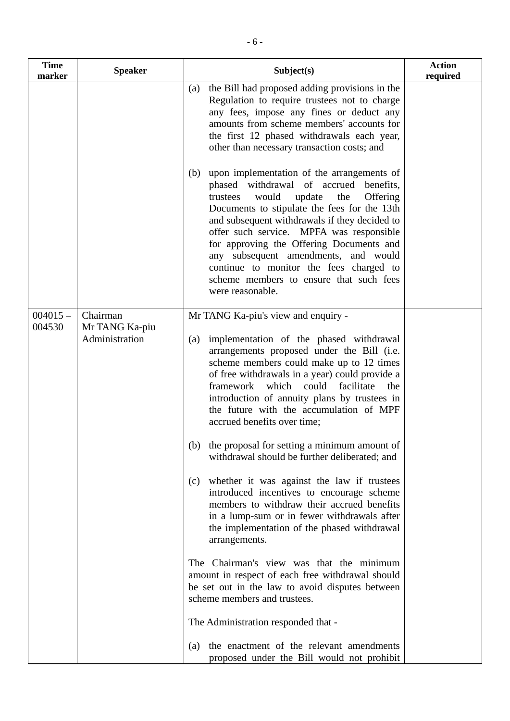| <b>Time</b><br>marker | <b>Speaker</b>                               | Subject(s)                                                                                                                                                                                                                                                                                                                                                                                                                                                                               | <b>Action</b><br>required |
|-----------------------|----------------------------------------------|------------------------------------------------------------------------------------------------------------------------------------------------------------------------------------------------------------------------------------------------------------------------------------------------------------------------------------------------------------------------------------------------------------------------------------------------------------------------------------------|---------------------------|
|                       |                                              | the Bill had proposed adding provisions in the<br>(a)<br>Regulation to require trustees not to charge<br>any fees, impose any fines or deduct any<br>amounts from scheme members' accounts for<br>the first 12 phased withdrawals each year,<br>other than necessary transaction costs; and                                                                                                                                                                                              |                           |
|                       |                                              | upon implementation of the arrangements of<br>(b)<br>phased withdrawal of accrued benefits,<br>update<br>Offering<br>would<br>the<br>trustees<br>Documents to stipulate the fees for the 13th<br>and subsequent withdrawals if they decided to<br>offer such service. MPFA was responsible<br>for approving the Offering Documents and<br>any subsequent amendments, and would<br>continue to monitor the fees charged to<br>scheme members to ensure that such fees<br>were reasonable. |                           |
| $004015 -$<br>004530  | Chairman<br>Mr TANG Ka-piu<br>Administration | Mr TANG Ka-piu's view and enquiry -<br>implementation of the phased withdrawal<br>(a)<br>arrangements proposed under the Bill (i.e.<br>scheme members could make up to 12 times<br>of free withdrawals in a year) could provide a<br>which<br>could<br>facilitate<br>framework<br>the<br>introduction of annuity plans by trustees in<br>the future with the accumulation of MPF<br>accrued benefits over time;                                                                          |                           |
|                       |                                              | (b) the proposal for setting a minimum amount of<br>withdrawal should be further deliberated; and<br>whether it was against the law if trustees<br>(c)<br>introduced incentives to encourage scheme<br>members to withdraw their accrued benefits<br>in a lump-sum or in fewer withdrawals after<br>the implementation of the phased withdrawal<br>arrangements.                                                                                                                         |                           |
|                       |                                              | The Chairman's view was that the minimum<br>amount in respect of each free withdrawal should<br>be set out in the law to avoid disputes between<br>scheme members and trustees.<br>The Administration responded that -                                                                                                                                                                                                                                                                   |                           |
|                       |                                              | the enactment of the relevant amendments<br>(a)<br>proposed under the Bill would not prohibit                                                                                                                                                                                                                                                                                                                                                                                            |                           |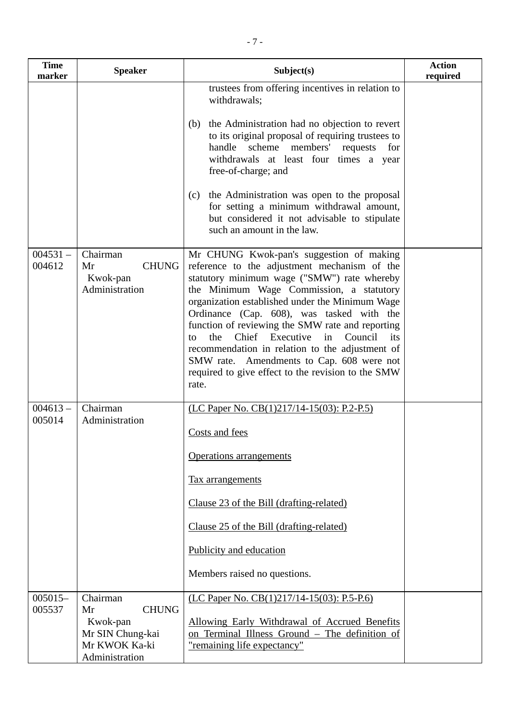| <b>Time</b><br>marker | <b>Speaker</b>                                                                                    | Subject(s)                                                                                                                                                                                                                                                                                                                                                                                                                                                                                                                                                        | <b>Action</b><br>required |
|-----------------------|---------------------------------------------------------------------------------------------------|-------------------------------------------------------------------------------------------------------------------------------------------------------------------------------------------------------------------------------------------------------------------------------------------------------------------------------------------------------------------------------------------------------------------------------------------------------------------------------------------------------------------------------------------------------------------|---------------------------|
|                       |                                                                                                   | trustees from offering incentives in relation to<br>withdrawals;<br>the Administration had no objection to revert<br>(b)<br>to its original proposal of requiring trustees to<br>scheme members'<br>handle<br>requests<br>for<br>withdrawals at least four times a year<br>free-of-charge; and<br>the Administration was open to the proposal<br>(c)<br>for setting a minimum withdrawal amount,<br>but considered it not advisable to stipulate<br>such an amount in the law.                                                                                    |                           |
| $004531 -$<br>004612  | Chairman<br><b>CHUNG</b><br>Mr<br>Kwok-pan<br>Administration                                      | Mr CHUNG Kwok-pan's suggestion of making<br>reference to the adjustment mechanism of the<br>statutory minimum wage ("SMW") rate whereby<br>the Minimum Wage Commission, a statutory<br>organization established under the Minimum Wage<br>Ordinance (Cap. 608), was tasked with the<br>function of reviewing the SMW rate and reporting<br>the<br>Chief<br>Executive<br>Council<br>in<br>its<br>to<br>recommendation in relation to the adjustment of<br>SMW rate. Amendments to Cap. 608 were not<br>required to give effect to the revision to the SMW<br>rate. |                           |
| $004613 -$<br>005014  | Chairman<br>Administration                                                                        | (LC Paper No. CB(1)217/14-15(03): P.2-P.5)<br>Costs and fees<br>Operations arrangements<br><b>Tax</b> arrangements<br>Clause 23 of the Bill (drafting-related)<br>Clause 25 of the Bill (drafting-related)<br>Publicity and education<br>Members raised no questions.                                                                                                                                                                                                                                                                                             |                           |
| $005015-$<br>005537   | Chairman<br><b>CHUNG</b><br>Mr<br>Kwok-pan<br>Mr SIN Chung-kai<br>Mr KWOK Ka-ki<br>Administration | (LC Paper No. CB(1)217/14-15(03): P.5-P.6)<br>Allowing Early Withdrawal of Accrued Benefits<br>on Terminal Illness Ground - The definition of<br>"remaining life expectancy"                                                                                                                                                                                                                                                                                                                                                                                      |                           |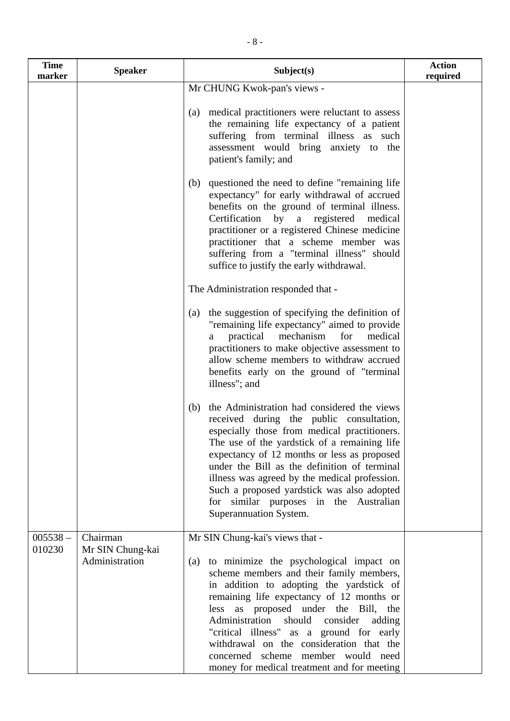| <b>Time</b><br>marker | <b>Speaker</b>                                 | Subject(s)                                                                                                                                                                                                                                                                                                                                                                                                                                                                                 | <b>Action</b><br>required |
|-----------------------|------------------------------------------------|--------------------------------------------------------------------------------------------------------------------------------------------------------------------------------------------------------------------------------------------------------------------------------------------------------------------------------------------------------------------------------------------------------------------------------------------------------------------------------------------|---------------------------|
|                       |                                                | Mr CHUNG Kwok-pan's views -                                                                                                                                                                                                                                                                                                                                                                                                                                                                |                           |
|                       |                                                | medical practitioners were reluctant to assess<br>(a)<br>the remaining life expectancy of a patient<br>suffering from terminal illness as such<br>assessment would bring anxiety to the<br>patient's family; and                                                                                                                                                                                                                                                                           |                           |
|                       |                                                | questioned the need to define "remaining life"<br>(b)<br>expectancy" for early withdrawal of accrued<br>benefits on the ground of terminal illness.<br>Certification by a registered<br>medical<br>practitioner or a registered Chinese medicine<br>practitioner that a scheme member was<br>suffering from a "terminal illness" should<br>suffice to justify the early withdrawal.                                                                                                        |                           |
|                       |                                                | The Administration responded that -                                                                                                                                                                                                                                                                                                                                                                                                                                                        |                           |
|                       |                                                | the suggestion of specifying the definition of<br>(a)<br>"remaining life expectancy" aimed to provide<br>practical<br>mechanism<br>medical<br>for<br>a<br>practitioners to make objective assessment to<br>allow scheme members to withdraw accrued<br>benefits early on the ground of "terminal<br>illness"; and                                                                                                                                                                          |                           |
|                       |                                                | the Administration had considered the views<br>(b)<br>received during the public consultation,<br>especially those from medical practitioners.<br>The use of the yardstick of a remaining life<br>expectancy of 12 months or less as proposed<br>under the Bill as the definition of terminal<br>illness was agreed by the medical profession.<br>Such a proposed yardstick was also adopted<br>for similar purposes in the Australian<br>Superannuation System.                           |                           |
| $005538 -$<br>010230  | Chairman<br>Mr SIN Chung-kai<br>Administration | Mr SIN Chung-kai's views that -<br>to minimize the psychological impact on<br>(a)<br>scheme members and their family members,<br>in addition to adopting the yardstick of<br>remaining life expectancy of 12 months or<br>less as proposed under the Bill,<br>the<br>Administration should consider<br>adding<br>"critical illness" as a ground for early<br>withdrawal on the consideration that the<br>concerned scheme member would need<br>money for medical treatment and for meeting |                           |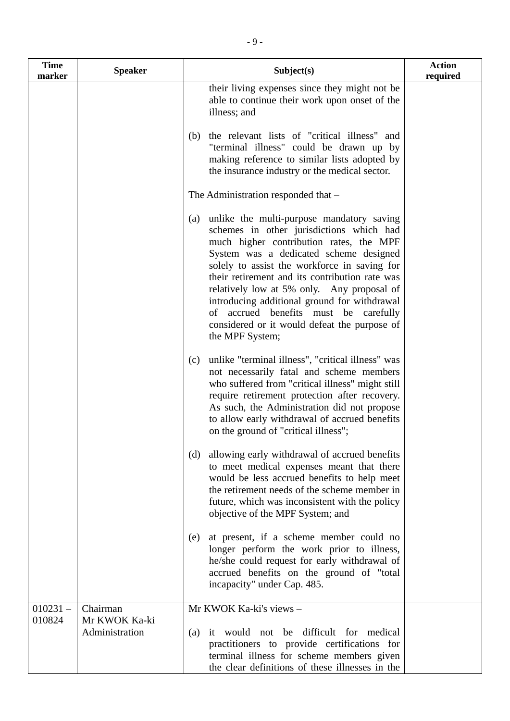| <b>Time</b><br>marker | <b>Speaker</b>                              | Subject(s)                                                                                                                                                                                                                                                                                                                                                                                                                                                                                    | <b>Action</b><br>required |
|-----------------------|---------------------------------------------|-----------------------------------------------------------------------------------------------------------------------------------------------------------------------------------------------------------------------------------------------------------------------------------------------------------------------------------------------------------------------------------------------------------------------------------------------------------------------------------------------|---------------------------|
|                       |                                             | their living expenses since they might not be<br>able to continue their work upon onset of the<br>illness; and                                                                                                                                                                                                                                                                                                                                                                                |                           |
|                       |                                             | the relevant lists of "critical illness" and<br>(b)<br>"terminal illness" could be drawn up by<br>making reference to similar lists adopted by<br>the insurance industry or the medical sector.                                                                                                                                                                                                                                                                                               |                           |
|                       |                                             | The Administration responded that –                                                                                                                                                                                                                                                                                                                                                                                                                                                           |                           |
|                       |                                             | unlike the multi-purpose mandatory saving<br>(a)<br>schemes in other jurisdictions which had<br>much higher contribution rates, the MPF<br>System was a dedicated scheme designed<br>solely to assist the workforce in saving for<br>their retirement and its contribution rate was<br>relatively low at 5% only. Any proposal of<br>introducing additional ground for withdrawal<br>of accrued benefits must be carefully<br>considered or it would defeat the purpose of<br>the MPF System; |                           |
|                       |                                             | unlike "terminal illness", "critical illness" was<br>(c)<br>not necessarily fatal and scheme members<br>who suffered from "critical illness" might still<br>require retirement protection after recovery.<br>As such, the Administration did not propose<br>to allow early withdrawal of accrued benefits<br>on the ground of "critical illness";                                                                                                                                             |                           |
|                       |                                             | allowing early withdrawal of accrued benefits<br>(d)<br>to meet medical expenses meant that there<br>would be less accrued benefits to help meet<br>the retirement needs of the scheme member in<br>future, which was inconsistent with the policy<br>objective of the MPF System; and                                                                                                                                                                                                        |                           |
|                       |                                             | at present, if a scheme member could no<br>(e)<br>longer perform the work prior to illness,<br>he/she could request for early withdrawal of<br>accrued benefits on the ground of "total<br>incapacity" under Cap. 485.                                                                                                                                                                                                                                                                        |                           |
| $010231 -$<br>010824  | Chairman<br>Mr KWOK Ka-ki<br>Administration | Mr KWOK Ka-ki's views -<br>(a) it would not be difficult for medical<br>practitioners to provide certifications for<br>terminal illness for scheme members given<br>the clear definitions of these illnesses in the                                                                                                                                                                                                                                                                           |                           |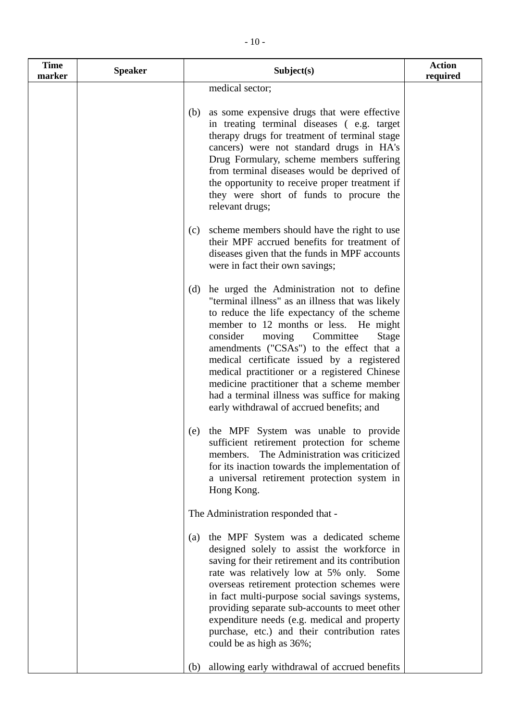| <b>Time</b><br>marker | <b>Speaker</b> | Subject(s)                                                                                                                                                                                                                                                                                                                                                                                                                                                                                                                     | <b>Action</b><br>required |
|-----------------------|----------------|--------------------------------------------------------------------------------------------------------------------------------------------------------------------------------------------------------------------------------------------------------------------------------------------------------------------------------------------------------------------------------------------------------------------------------------------------------------------------------------------------------------------------------|---------------------------|
|                       |                | medical sector;                                                                                                                                                                                                                                                                                                                                                                                                                                                                                                                |                           |
|                       |                | as some expensive drugs that were effective<br>(b)<br>in treating terminal diseases (e.g. target<br>therapy drugs for treatment of terminal stage<br>cancers) were not standard drugs in HA's<br>Drug Formulary, scheme members suffering<br>from terminal diseases would be deprived of<br>the opportunity to receive proper treatment if<br>they were short of funds to procure the<br>relevant drugs;                                                                                                                       |                           |
|                       |                | scheme members should have the right to use<br>(c)<br>their MPF accrued benefits for treatment of<br>diseases given that the funds in MPF accounts<br>were in fact their own savings;                                                                                                                                                                                                                                                                                                                                          |                           |
|                       |                | he urged the Administration not to define<br>(d)<br>"terminal illness" as an illness that was likely<br>to reduce the life expectancy of the scheme<br>member to 12 months or less. He might<br>consider<br>moving<br>Committee<br>Stage<br>amendments ("CSAs") to the effect that a<br>medical certificate issued by a registered<br>medical practitioner or a registered Chinese<br>medicine practitioner that a scheme member<br>had a terminal illness was suffice for making<br>early withdrawal of accrued benefits; and |                           |
|                       |                | the MPF System was unable to provide<br>(e)<br>sufficient retirement protection for scheme<br>The Administration was criticized<br>members.<br>for its inaction towards the implementation of<br>a universal retirement protection system in<br>Hong Kong.                                                                                                                                                                                                                                                                     |                           |
|                       |                | The Administration responded that -                                                                                                                                                                                                                                                                                                                                                                                                                                                                                            |                           |
|                       |                | the MPF System was a dedicated scheme<br>(a)<br>designed solely to assist the workforce in<br>saving for their retirement and its contribution<br>rate was relatively low at 5% only.<br>Some<br>overseas retirement protection schemes were<br>in fact multi-purpose social savings systems,<br>providing separate sub-accounts to meet other<br>expenditure needs (e.g. medical and property<br>purchase, etc.) and their contribution rates<br>could be as high as 36%;                                                     |                           |
|                       |                | allowing early withdrawal of accrued benefits<br>(b)                                                                                                                                                                                                                                                                                                                                                                                                                                                                           |                           |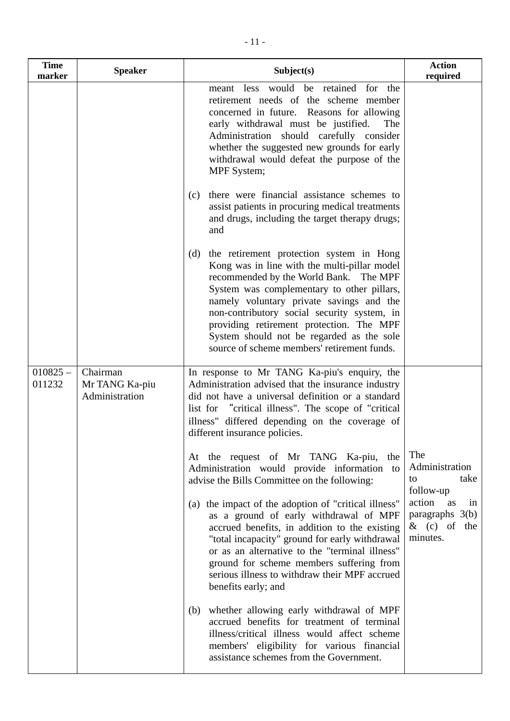| <b>Time</b><br>marker | <b>Speaker</b>                               | Subject(s)                                                                                                                                                                                                                                                                                                                                                                                                                 | <b>Action</b><br>required                                              |
|-----------------------|----------------------------------------------|----------------------------------------------------------------------------------------------------------------------------------------------------------------------------------------------------------------------------------------------------------------------------------------------------------------------------------------------------------------------------------------------------------------------------|------------------------------------------------------------------------|
|                       |                                              | meant less would be retained for the<br>retirement needs of the scheme member<br>concerned in future. Reasons for allowing<br>early withdrawal must be justified.<br>The<br>Administration should carefully consider<br>whether the suggested new grounds for early<br>withdrawal would defeat the purpose of the<br>MPF System;                                                                                           |                                                                        |
|                       |                                              | there were financial assistance schemes to<br>(c)<br>assist patients in procuring medical treatments<br>and drugs, including the target therapy drugs;<br>and                                                                                                                                                                                                                                                              |                                                                        |
|                       |                                              | the retirement protection system in Hong<br>(d)<br>Kong was in line with the multi-pillar model<br>recommended by the World Bank. The MPF<br>System was complementary to other pillars,<br>namely voluntary private savings and the<br>non-contributory social security system, in<br>providing retirement protection. The MPF<br>System should not be regarded as the sole<br>source of scheme members' retirement funds. |                                                                        |
| $010825 -$<br>011232  | Chairman<br>Mr TANG Ka-piu<br>Administration | In response to Mr TANG Ka-piu's enquiry, the<br>Administration advised that the insurance industry<br>did not have a universal definition or a standard<br>list for "critical illness". The scope of "critical"<br>illness" differed depending on the coverage of<br>different insurance policies.                                                                                                                         |                                                                        |
|                       |                                              | At the request of Mr TANG Ka-piu,<br>the<br>Administration would provide information to<br>advise the Bills Committee on the following:                                                                                                                                                                                                                                                                                    | The<br>Administration<br>take<br>to<br>follow-up                       |
|                       |                                              | (a) the impact of the adoption of "critical illness"<br>as a ground of early withdrawal of MPF<br>accrued benefits, in addition to the existing<br>"total incapacity" ground for early withdrawal<br>or as an alternative to the "terminal illness"<br>ground for scheme members suffering from<br>serious illness to withdraw their MPF accrued<br>benefits early; and                                                    | action<br>as<br>in<br>paragraphs $3(b)$<br>$\&$ (c) of the<br>minutes. |
|                       |                                              | whether allowing early withdrawal of MPF<br>(b)<br>accrued benefits for treatment of terminal<br>illness/critical illness would affect scheme<br>members' eligibility for various financial<br>assistance schemes from the Government.                                                                                                                                                                                     |                                                                        |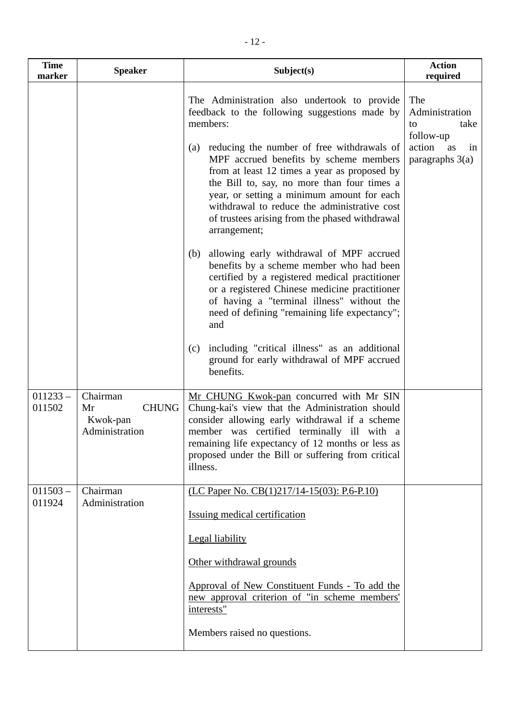| <b>Time</b><br>marker | <b>Speaker</b>                                               | Subject(s)                                                                                                                                                                                                                                                                                                                                              | <b>Action</b><br>required                        |
|-----------------------|--------------------------------------------------------------|---------------------------------------------------------------------------------------------------------------------------------------------------------------------------------------------------------------------------------------------------------------------------------------------------------------------------------------------------------|--------------------------------------------------|
|                       |                                                              | The Administration also undertook to provide<br>feedback to the following suggestions made by<br>members:                                                                                                                                                                                                                                               | The<br>Administration<br>take<br>to<br>follow-up |
|                       |                                                              | (a) reducing the number of free withdrawals of<br>MPF accrued benefits by scheme members<br>from at least 12 times a year as proposed by<br>the Bill to, say, no more than four times a<br>year, or setting a minimum amount for each<br>withdrawal to reduce the administrative cost<br>of trustees arising from the phased withdrawal<br>arrangement; | action<br>as<br>in<br>paragraphs $3(a)$          |
|                       |                                                              | allowing early withdrawal of MPF accrued<br>(b)<br>benefits by a scheme member who had been<br>certified by a registered medical practitioner<br>or a registered Chinese medicine practitioner<br>of having a "terminal illness" without the<br>need of defining "remaining life expectancy";<br>and                                                    |                                                  |
|                       |                                                              | including "critical illness" as an additional<br>(c)<br>ground for early withdrawal of MPF accrued<br>benefits.                                                                                                                                                                                                                                         |                                                  |
| $011233 -$<br>011502  | Chairman<br><b>CHUNG</b><br>Mr<br>Kwok-pan<br>Administration | Mr CHUNG Kwok-pan concurred with Mr SIN<br>Chung-kai's view that the Administration should<br>consider allowing early withdrawal if a scheme<br>member was certified terminally ill with a<br>remaining life expectancy of 12 months or less as<br>proposed under the Bill or suffering from critical<br>illness.                                       |                                                  |
| $011503 -$<br>011924  | Chairman<br>Administration                                   | (LC Paper No. CB(1)217/14-15(03): P.6-P.10)                                                                                                                                                                                                                                                                                                             |                                                  |
|                       |                                                              | <b>Issuing medical certification</b>                                                                                                                                                                                                                                                                                                                    |                                                  |
|                       |                                                              | <b>Legal liability</b>                                                                                                                                                                                                                                                                                                                                  |                                                  |
|                       |                                                              | Other withdrawal grounds                                                                                                                                                                                                                                                                                                                                |                                                  |
|                       |                                                              | Approval of New Constituent Funds - To add the<br>new approval criterion of "in scheme members"<br>interests"                                                                                                                                                                                                                                           |                                                  |
|                       |                                                              | Members raised no questions.                                                                                                                                                                                                                                                                                                                            |                                                  |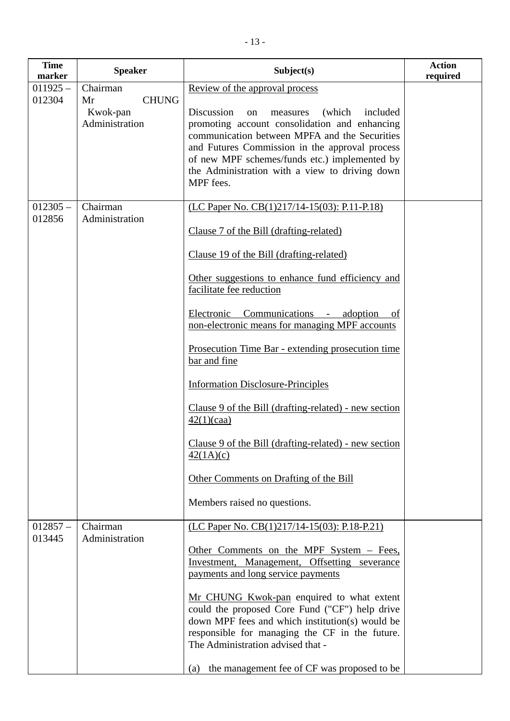| <b>Time</b><br>marker | <b>Speaker</b>                                   | Subject(s)                                                                                                                                                                                                                                                                                                              | <b>Action</b><br>required |
|-----------------------|--------------------------------------------------|-------------------------------------------------------------------------------------------------------------------------------------------------------------------------------------------------------------------------------------------------------------------------------------------------------------------------|---------------------------|
| $011925 -$            | Chairman                                         | Review of the approval process                                                                                                                                                                                                                                                                                          |                           |
| 012304                | <b>CHUNG</b><br>Mr<br>Kwok-pan<br>Administration | Discussion<br>(which)<br>included<br>measures<br>on<br>promoting account consolidation and enhancing<br>communication between MPFA and the Securities<br>and Futures Commission in the approval process<br>of new MPF schemes/funds etc.) implemented by<br>the Administration with a view to driving down<br>MPF fees. |                           |
| $012305 -$            | Chairman                                         | (LC Paper No. CB(1)217/14-15(03): P.11-P.18)                                                                                                                                                                                                                                                                            |                           |
| 012856                | Administration                                   | Clause 7 of the Bill (drafting-related)                                                                                                                                                                                                                                                                                 |                           |
|                       |                                                  | Clause 19 of the Bill (drafting-related)                                                                                                                                                                                                                                                                                |                           |
|                       |                                                  | Other suggestions to enhance fund efficiency and<br>facilitate fee reduction                                                                                                                                                                                                                                            |                           |
|                       |                                                  | Electronic Communications - adoption<br>of<br>non-electronic means for managing MPF accounts                                                                                                                                                                                                                            |                           |
|                       |                                                  | Prosecution Time Bar - extending prosecution time<br>bar and fine                                                                                                                                                                                                                                                       |                           |
|                       |                                                  | <b>Information Disclosure-Principles</b>                                                                                                                                                                                                                                                                                |                           |
|                       |                                                  | Clause 9 of the Bill (drafting-related) - new section<br>42(1)(caa)                                                                                                                                                                                                                                                     |                           |
|                       |                                                  | Clause 9 of the Bill (drafting-related) - new section<br>42(1A)(c)                                                                                                                                                                                                                                                      |                           |
|                       |                                                  | Other Comments on Drafting of the Bill                                                                                                                                                                                                                                                                                  |                           |
|                       |                                                  | Members raised no questions.                                                                                                                                                                                                                                                                                            |                           |
| $012857 -$<br>013445  | Chairman<br>Administration                       | (LC Paper No. CB(1)217/14-15(03): P.18-P.21)                                                                                                                                                                                                                                                                            |                           |
|                       |                                                  | Other Comments on the MPF System – Fees,<br>Investment, Management, Offsetting severance<br>payments and long service payments                                                                                                                                                                                          |                           |
|                       |                                                  | Mr CHUNG Kwok-pan enquired to what extent<br>could the proposed Core Fund ("CF") help drive<br>down MPF fees and which institution(s) would be<br>responsible for managing the CF in the future.<br>The Administration advised that -                                                                                   |                           |
|                       |                                                  | the management fee of CF was proposed to be<br>(a)                                                                                                                                                                                                                                                                      |                           |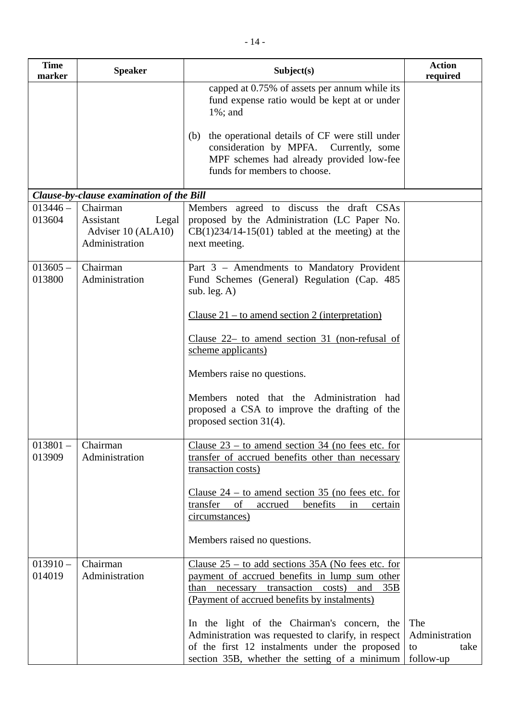| <b>Time</b><br>marker | <b>Speaker</b>                                                         | Subject(s)                                                                                                                                                                                                       | <b>Action</b><br>required                        |
|-----------------------|------------------------------------------------------------------------|------------------------------------------------------------------------------------------------------------------------------------------------------------------------------------------------------------------|--------------------------------------------------|
|                       |                                                                        | capped at 0.75% of assets per annum while its<br>fund expense ratio would be kept at or under<br>$1\%$ ; and                                                                                                     |                                                  |
|                       |                                                                        | the operational details of CF were still under<br>(b)<br>consideration by MPFA. Currently, some<br>MPF schemes had already provided low-fee<br>funds for members to choose.                                      |                                                  |
|                       | Clause-by-clause examination of the Bill                               |                                                                                                                                                                                                                  |                                                  |
| $013446 -$<br>013604  | Chairman<br>Assistant<br>Legal<br>Adviser 10 (ALA10)<br>Administration | Members agreed to discuss the draft CSAs<br>proposed by the Administration (LC Paper No.<br>$CB(1)234/14-15(01)$ tabled at the meeting) at the<br>next meeting.                                                  |                                                  |
| $013605 -$<br>013800  | Chairman<br>Administration                                             | Part 3 - Amendments to Mandatory Provident<br>Fund Schemes (General) Regulation (Cap. 485)<br>sub. leg. $A$ )                                                                                                    |                                                  |
|                       |                                                                        | Clause $21$ – to amend section 2 (interpretation)                                                                                                                                                                |                                                  |
|                       |                                                                        | Clause 22- to amend section 31 (non-refusal of<br>scheme applicants)                                                                                                                                             |                                                  |
|                       |                                                                        | Members raise no questions.                                                                                                                                                                                      |                                                  |
|                       |                                                                        | Members noted that the Administration had<br>proposed a CSA to improve the drafting of the<br>proposed section $31(4)$ .                                                                                         |                                                  |
| $013801 -$<br>013909  | Chairman<br>Administration                                             | Clause $23$ – to amend section 34 (no fees etc. for<br>transfer of accrued benefits other than necessary<br>transaction costs)                                                                                   |                                                  |
|                       |                                                                        | <u>Clause <math>24</math> – to amend section 35 (no fees etc. for</u><br>transfer<br>of<br>benefits<br>accrued<br>in<br>certain<br>circumstances)                                                                |                                                  |
|                       |                                                                        | Members raised no questions.                                                                                                                                                                                     |                                                  |
| $013910 -$<br>014019  | Chairman<br>Administration                                             | Clause $25 -$ to add sections 35A (No fees etc. for<br>payment of accrued benefits in lump sum other<br>transaction<br>than<br>costs)<br>35B<br>and<br>necessary<br>(Payment of accrued benefits by instalments) |                                                  |
|                       |                                                                        | In the light of the Chairman's concern, the<br>Administration was requested to clarify, in respect<br>of the first 12 instalments under the proposed<br>section 35B, whether the setting of a minimum            | The<br>Administration<br>take<br>to<br>follow-up |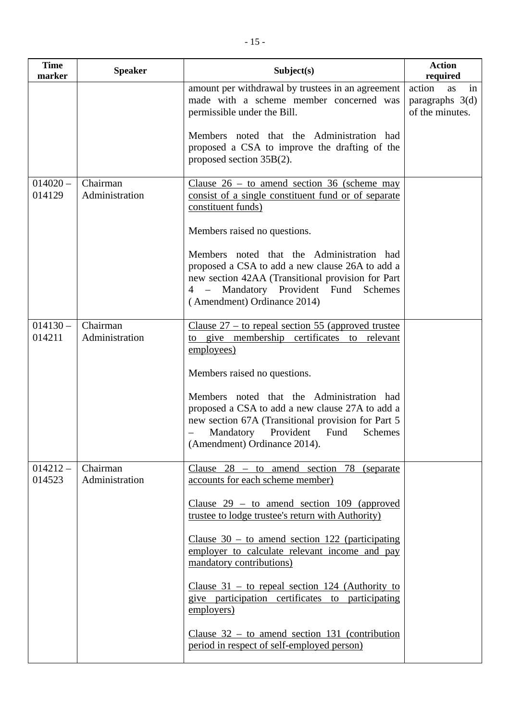| <b>Time</b><br>marker | <b>Speaker</b> | Subject(s)                                                                                                                                                                                                                                                 | <b>Action</b><br>require               |
|-----------------------|----------------|------------------------------------------------------------------------------------------------------------------------------------------------------------------------------------------------------------------------------------------------------------|----------------------------------------|
|                       |                | amount per withdrawal by trustees in an agreement  <br>made with a scheme member concerned was<br>permissible under the Bill.<br>Members noted that the Administration had<br>proposed a CSA to improve the drafting of the<br>proposed section $35B(2)$ . | action as<br>paragraphs<br>of the minu |
| 1.4020                | Chaimon        | $C_{\text{lowon}}$ $26$ to amond soction $26$ (sobomo move                                                                                                                                                                                                 |                                        |

**required**

action as in paragraphs 3(d)

|            |                | permissible under the Bill.                                                                                               | of the minutes. |
|------------|----------------|---------------------------------------------------------------------------------------------------------------------------|-----------------|
|            |                | Members noted that the Administration had<br>proposed a CSA to improve the drafting of the<br>proposed section $35B(2)$ . |                 |
| $014020 -$ | Chairman       | Clause $26 -$ to amend section 36 (scheme may                                                                             |                 |
| 014129     | Administration | consist of a single constituent fund or of separate                                                                       |                 |
|            |                | constituent funds)                                                                                                        |                 |
|            |                | Members raised no questions.                                                                                              |                 |
|            |                | Members noted that the Administration had                                                                                 |                 |
|            |                | proposed a CSA to add a new clause 26A to add a                                                                           |                 |
|            |                | new section 42AA (Transitional provision for Part                                                                         |                 |
|            |                | 4 – Mandatory Provident Fund<br>Schemes                                                                                   |                 |
|            |                | (Amendment) Ordinance 2014)                                                                                               |                 |
| $014130 -$ | Chairman       | Clause $27 -$ to repeal section 55 (approved trustee                                                                      |                 |
| 014211     | Administration | to give membership certificates to relevant                                                                               |                 |
|            |                | employees)                                                                                                                |                 |
|            |                | Members raised no questions.                                                                                              |                 |
|            |                | Members noted that the Administration had<br>proposed a CSA to add a new clause 27A to add a                              |                 |
|            |                | new section 67A (Transitional provision for Part 5                                                                        |                 |
|            |                | Mandatory Provident Fund<br>Schemes                                                                                       |                 |
|            |                | (Amendment) Ordinance 2014).                                                                                              |                 |
| $014212 -$ | Chairman       | Clause $28 -$ to amend section 78<br>(separate)                                                                           |                 |
| 014523     | Administration | accounts for each scheme member)                                                                                          |                 |
|            |                | Clause $29 -$ to amend section 109 (approved                                                                              |                 |
|            |                | trustee to lodge trustee's return with Authority)                                                                         |                 |
|            |                | Clause $30 -$ to amend section 122 (participating                                                                         |                 |
|            |                | employer to calculate relevant income and pay                                                                             |                 |
|            |                | mandatory contributions)                                                                                                  |                 |
|            |                | Clause $31 -$ to repeal section 124 (Authority to                                                                         |                 |
|            |                | give participation certificates to participating                                                                          |                 |
|            |                | employers)                                                                                                                |                 |
|            |                | Clause $32 -$ to amend section 131 (contribution                                                                          |                 |
|            |                | period in respect of self-employed person)                                                                                |                 |
|            |                |                                                                                                                           |                 |

**Time**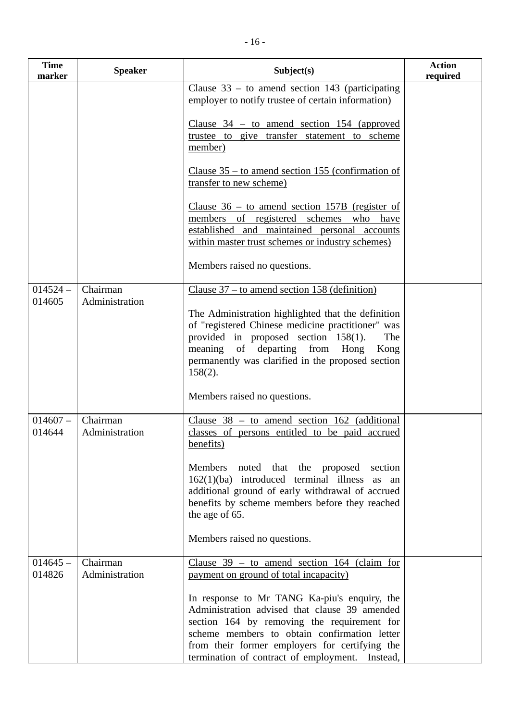| <b>Time</b><br>marker | <b>Speaker</b>             | Subject(s)                                                                                                                                                                                                                                                                                        | <b>Action</b><br>required |
|-----------------------|----------------------------|---------------------------------------------------------------------------------------------------------------------------------------------------------------------------------------------------------------------------------------------------------------------------------------------------|---------------------------|
|                       |                            | Clause $33 -$ to amend section 143 (participating<br>employer to notify trustee of certain information)                                                                                                                                                                                           |                           |
|                       |                            | Clause $34 -$ to amend section 154 (approved<br>trustee to give transfer statement to scheme<br>member)                                                                                                                                                                                           |                           |
|                       |                            | Clause $35$ – to amend section 155 (confirmation of<br>transfer to new scheme)                                                                                                                                                                                                                    |                           |
|                       |                            | <u>Clause <math>36 - to</math> amend section 157B (register of</u><br>members of registered schemes who have<br>established and maintained personal accounts<br>within master trust schemes or industry schemes)                                                                                  |                           |
|                       |                            | Members raised no questions.                                                                                                                                                                                                                                                                      |                           |
| $014524 -$<br>014605  | Chairman<br>Administration | Clause $37 -$ to amend section 158 (definition)                                                                                                                                                                                                                                                   |                           |
|                       |                            | The Administration highlighted that the definition<br>of "registered Chinese medicine practitioner" was<br>provided in proposed section $158(1)$ .<br>The<br>meaning of departing from<br>Hong<br>Kong<br>permanently was clarified in the proposed section<br>$158(2)$ .                         |                           |
|                       |                            | Members raised no questions.                                                                                                                                                                                                                                                                      |                           |
| $014607 -$<br>014644  | Chairman<br>Administration | Clause $38 -$ to amend section 162 (additional<br>classes of persons entitled to be paid accrued<br>benefits)                                                                                                                                                                                     |                           |
|                       |                            | Members noted that the proposed section<br>$162(1)(ba)$ introduced terminal illness<br>as<br>an<br>additional ground of early withdrawal of accrued<br>benefits by scheme members before they reached<br>the age of 65.                                                                           |                           |
|                       |                            | Members raised no questions.                                                                                                                                                                                                                                                                      |                           |
| $014645 -$<br>014826  | Chairman<br>Administration | Clause $39 -$ to amend section 164 (claim for<br>payment on ground of total incapacity)                                                                                                                                                                                                           |                           |
|                       |                            | In response to Mr TANG Ka-piu's enquiry, the<br>Administration advised that clause 39 amended<br>section 164 by removing the requirement for<br>scheme members to obtain confirmation letter<br>from their former employers for certifying the<br>termination of contract of employment. Instead, |                           |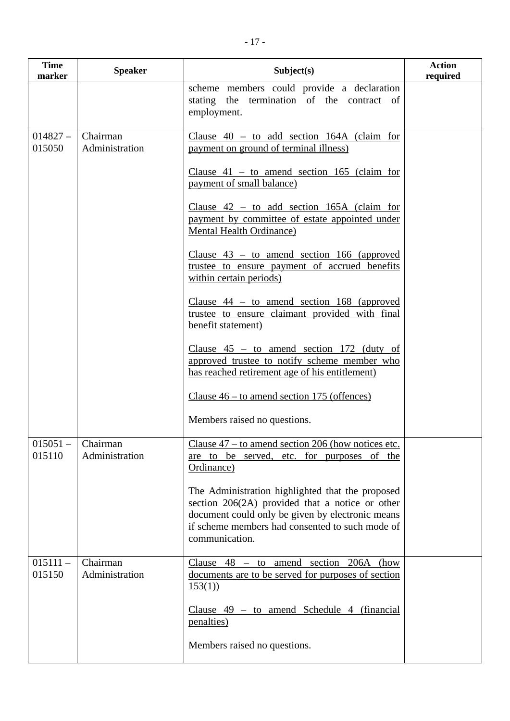| <b>Time</b><br>marker | <b>Speaker</b>                        | Subject(s)                                                                                                                                                                                                                     | <b>Action</b><br>required |
|-----------------------|---------------------------------------|--------------------------------------------------------------------------------------------------------------------------------------------------------------------------------------------------------------------------------|---------------------------|
|                       |                                       | scheme members could provide a declaration<br>stating the termination of the contract of<br>employment.                                                                                                                        |                           |
| $014827 -$<br>015050  | Chairman<br>Administration            | Clause $40 -$ to add section 164A (claim for<br>payment on ground of terminal illness)                                                                                                                                         |                           |
|                       |                                       | Clause $41 -$ to amend section 165 (claim for<br>payment of small balance)                                                                                                                                                     |                           |
|                       |                                       | Clause $42 -$ to add section 165A (claim for<br>payment by committee of estate appointed under<br><b>Mental Health Ordinance)</b>                                                                                              |                           |
|                       |                                       | Clause $43 -$ to amend section 166 (approved<br>trustee to ensure payment of accrued benefits<br>within certain periods)                                                                                                       |                           |
|                       |                                       | Clause $44 -$ to amend section 168 (approved<br>trustee to ensure claimant provided with final<br>benefit statement)                                                                                                           |                           |
|                       |                                       | Clause $45 -$ to amend section 172 (duty of<br>approved trustee to notify scheme member who<br>has reached retirement age of his entitlement)                                                                                  |                           |
|                       |                                       | Clause $46 -$ to amend section 175 (offences)                                                                                                                                                                                  |                           |
|                       |                                       | Members raised no questions.                                                                                                                                                                                                   |                           |
| 015110                | $015051 -$ Chairman<br>Administration | Clause $47 -$ to amend section 206 (how notices etc.<br>are to be served, etc. for purposes of the<br>Ordinance)                                                                                                               |                           |
|                       |                                       | The Administration highlighted that the proposed<br>section $206(2A)$ provided that a notice or other<br>document could only be given by electronic means<br>if scheme members had consented to such mode of<br>communication. |                           |
| $015111 -$<br>015150  | Chairman<br>Administration            | Clause $48 -$ to amend section $206A$ (how<br>documents are to be served for purposes of section<br>153(1)                                                                                                                     |                           |
|                       |                                       | Clause $49 - to$ amend Schedule 4 (financial<br><u>penalties)</u>                                                                                                                                                              |                           |
|                       |                                       | Members raised no questions.                                                                                                                                                                                                   |                           |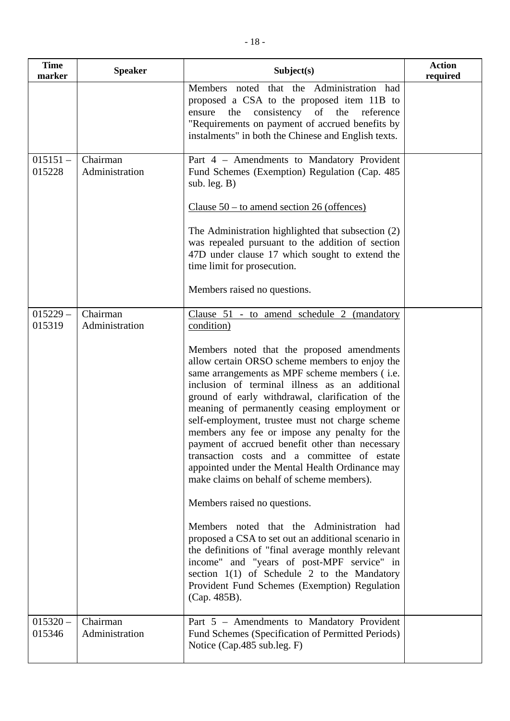| <b>Time</b><br>marker | <b>Speaker</b>             | Subject(s)                                                                                                                                                                                                                                                                                                                                                                                                                                                                                                                                                                                                | <b>Action</b><br>required |
|-----------------------|----------------------------|-----------------------------------------------------------------------------------------------------------------------------------------------------------------------------------------------------------------------------------------------------------------------------------------------------------------------------------------------------------------------------------------------------------------------------------------------------------------------------------------------------------------------------------------------------------------------------------------------------------|---------------------------|
|                       |                            | Members noted that the Administration had<br>proposed a CSA to the proposed item 11B to<br>consistency of the<br>reference<br>ensure<br>the<br>"Requirements on payment of accrued benefits by<br>instalments" in both the Chinese and English texts.                                                                                                                                                                                                                                                                                                                                                     |                           |
| $015151 -$<br>015228  | Chairman<br>Administration | Part 4 - Amendments to Mandatory Provident<br>Fund Schemes (Exemption) Regulation (Cap. 485)<br>sub. leg. $B)$                                                                                                                                                                                                                                                                                                                                                                                                                                                                                            |                           |
|                       |                            | Clause $50 -$ to amend section 26 (offences)                                                                                                                                                                                                                                                                                                                                                                                                                                                                                                                                                              |                           |
|                       |                            | The Administration highlighted that subsection (2)<br>was repealed pursuant to the addition of section<br>47D under clause 17 which sought to extend the<br>time limit for prosecution.                                                                                                                                                                                                                                                                                                                                                                                                                   |                           |
|                       |                            | Members raised no questions.                                                                                                                                                                                                                                                                                                                                                                                                                                                                                                                                                                              |                           |
| $015229 -$<br>015319  | Chairman<br>Administration | Clause 51 - to amend schedule 2 (mandatory<br>condition)                                                                                                                                                                                                                                                                                                                                                                                                                                                                                                                                                  |                           |
|                       |                            | Members noted that the proposed amendments<br>allow certain ORSO scheme members to enjoy the<br>same arrangements as MPF scheme members (i.e.<br>inclusion of terminal illness as an additional<br>ground of early withdrawal, clarification of the<br>meaning of permanently ceasing employment or<br>self-employment, trustee must not charge scheme<br>members any fee or impose any penalty for the<br>payment of accrued benefit other than necessary<br>transaction costs and a committee of estate<br>appointed under the Mental Health Ordinance may<br>make claims on behalf of scheme members). |                           |
|                       |                            | Members raised no questions.                                                                                                                                                                                                                                                                                                                                                                                                                                                                                                                                                                              |                           |
|                       |                            | Members noted that the Administration had<br>proposed a CSA to set out an additional scenario in<br>the definitions of "final average monthly relevant<br>income" and "years of post-MPF service" in<br>section 1(1) of Schedule 2 to the Mandatory<br>Provident Fund Schemes (Exemption) Regulation<br>(Cap. 485B).                                                                                                                                                                                                                                                                                      |                           |
| $015320 -$<br>015346  | Chairman<br>Administration | Part 5 - Amendments to Mandatory Provident<br>Fund Schemes (Specification of Permitted Periods)<br>Notice (Cap.485 sub.leg. F)                                                                                                                                                                                                                                                                                                                                                                                                                                                                            |                           |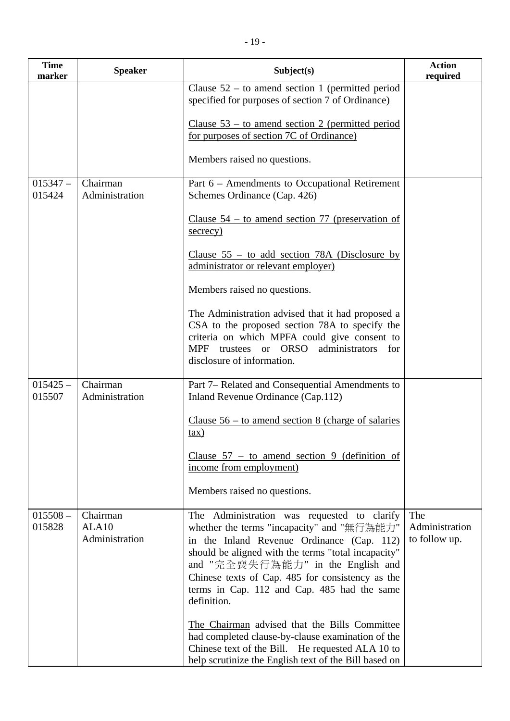| <b>Time</b><br>marker | <b>Speaker</b>                      | Subject(s)                                                                                                                                                                                                                                                                                                                                            | <b>Action</b><br>required              |
|-----------------------|-------------------------------------|-------------------------------------------------------------------------------------------------------------------------------------------------------------------------------------------------------------------------------------------------------------------------------------------------------------------------------------------------------|----------------------------------------|
|                       |                                     | Clause $52 -$ to amend section 1 (permitted period<br>specified for purposes of section 7 of Ordinance)                                                                                                                                                                                                                                               |                                        |
|                       |                                     | Clause $53 -$ to amend section 2 (permitted period<br>for purposes of section 7C of Ordinance)                                                                                                                                                                                                                                                        |                                        |
|                       |                                     | Members raised no questions.                                                                                                                                                                                                                                                                                                                          |                                        |
| $015347 -$<br>015424  | Chairman<br>Administration          | Part 6 – Amendments to Occupational Retirement<br>Schemes Ordinance (Cap. 426)                                                                                                                                                                                                                                                                        |                                        |
|                       |                                     | Clause $54 -$ to amend section 77 (preservation of<br>secrecy)                                                                                                                                                                                                                                                                                        |                                        |
|                       |                                     | Clause $55 -$ to add section 78A (Disclosure by<br>administrator or relevant employer)                                                                                                                                                                                                                                                                |                                        |
|                       |                                     | Members raised no questions.                                                                                                                                                                                                                                                                                                                          |                                        |
|                       |                                     | The Administration advised that it had proposed a<br>CSA to the proposed section 78A to specify the<br>criteria on which MPFA could give consent to<br>trustees or ORSO<br><b>MPF</b><br>administrators for<br>disclosure of information.                                                                                                             |                                        |
| $015425 -$<br>015507  | Chairman<br>Administration          | Part 7– Related and Consequential Amendments to<br>Inland Revenue Ordinance (Cap.112)                                                                                                                                                                                                                                                                 |                                        |
|                       |                                     | Clause $56 -$ to amend section 8 (charge of salaries<br>$\tan$ )                                                                                                                                                                                                                                                                                      |                                        |
|                       |                                     | Clause $57 -$ to amend section 9 (definition of<br>income from employment)                                                                                                                                                                                                                                                                            |                                        |
|                       |                                     | Members raised no questions.                                                                                                                                                                                                                                                                                                                          |                                        |
| $015508 -$<br>015828  | Chairman<br>ALA10<br>Administration | The Administration was requested to clarify<br>whether the terms "incapacity" and "無行為能力"<br>in the Inland Revenue Ordinance (Cap. 112)<br>should be aligned with the terms "total incapacity"<br>and "完全喪失行為能力" in the English and<br>Chinese texts of Cap. 485 for consistency as the<br>terms in Cap. 112 and Cap. 485 had the same<br>definition. | The<br>Administration<br>to follow up. |
|                       |                                     | The Chairman advised that the Bills Committee<br>had completed clause-by-clause examination of the<br>Chinese text of the Bill. He requested ALA 10 to<br>help scrutinize the English text of the Bill based on                                                                                                                                       |                                        |